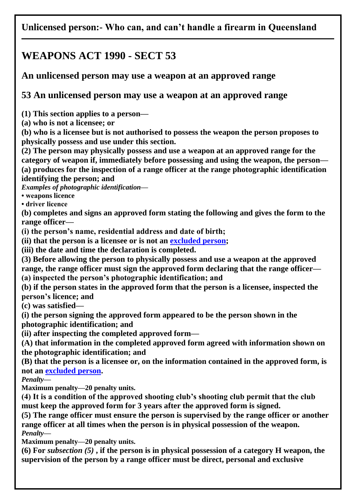## **Unlicensed person:- Who can, and can't handle a firearm in Queensland**

## **WEAPONS ACT 1990 - SECT 53**

## **An unlicensed person may use a weapon at an approved range**

## **53 An unlicensed person may use a weapon at an approved range**

**(1) This section applies to a person—**

**(a) who is not a licensee; or**

**(b) who is a licensee but is not authorised to possess the weapon the person proposes to physically possess and use under this section.**

**(2) The person may physically possess and use a weapon at an approved range for the category of weapon if, immediately before possessing and using the weapon, the person— (a) produces for the inspection of a range officer at the range photographic identification identifying the person; and**

*Examples of photographic identification—*

**• weapons licence**

**• driver licence**

**(b) completes and signs an approved form stating the following and gives the form to the range officer—**

**(i) the person's name, residential address and date of birth;**

**(ii) that the person is a licensee or is not an [excluded person;](http://classic.austlii.edu.au/au/legis/qld/consol_act/wa1990107/s53.html#excluded_person)**

**(iii) the date and time the declaration is completed.**

**(3) Before allowing the person to physically possess and use a weapon at the approved range, the range officer must sign the approved form declaring that the range officer— (a) inspected the person's photographic identification; and**

**(b) if the person states in the approved form that the person is a licensee, inspected the person's licence; and**

**(c) was satisfied—**

**(i) the person signing the approved form appeared to be the person shown in the photographic identification; and**

**(ii) after inspecting the completed approved form—**

**(A) that information in the completed approved form agreed with information shown on the photographic identification; and**

**(B) that the person is a licensee or, on the information contained in the approved form, is not an [excluded person.](http://classic.austlii.edu.au/au/legis/qld/consol_act/wa1990107/s53.html#excluded_person)**

*Penalty—*

**Maximum penalty—20 penalty units.**

**(4) It is a condition of the approved shooting club's shooting club permit that the club must keep the approved form for 3 years after the approved form is signed.**

**(5) The range officer must ensure the person is supervised by the range officer or another range officer at all times when the person is in physical possession of the weapon.** *Penalty—*

**Maximum penalty—20 penalty units.**

**(6) For** *subsection (5)* **, if the person is in physical possession of a category H weapon, the supervision of the person by a range officer must be direct, personal and exclusive**